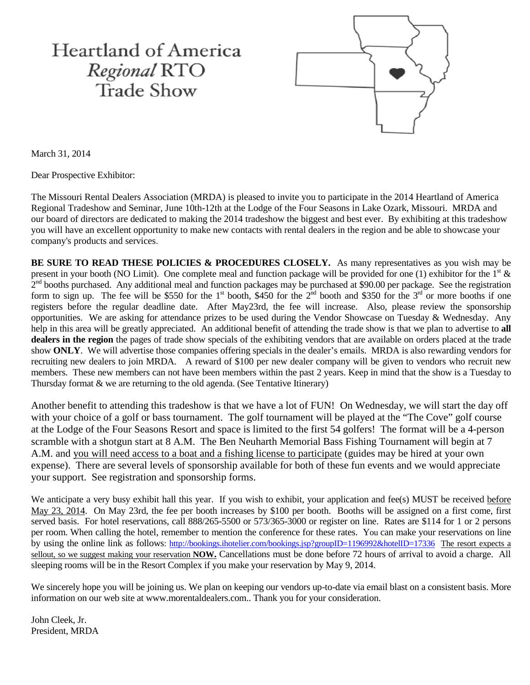# **Heartland of America** Regional RTO Trade Show



March 31, 2014

Dear Prospective Exhibitor:

The Missouri Rental Dealers Association (MRDA) is pleased to invite you to participate in the 2014 Heartland of America Regional Tradeshow and Seminar, June 10th-12th at the Lodge of the Four Seasons in Lake Ozark, Missouri. MRDA and our board of directors are dedicated to making the 2014 tradeshow the biggest and best ever. By exhibiting at this tradeshow you will have an excellent opportunity to make new contacts with rental dealers in the region and be able to showcase your company's products and services.

BE SURE TO READ THESE POLICIES & PROCEDURES CLOSELY. As many representatives as you wish may be present in your booth (NO Limit). One complete meal and function package will be provided for one (1) exhibitor for the  $1<sup>st</sup>$  & 2<sup>nd</sup> booths purchased. Any additional meal and function packages may be purchased at \$90.00 per package. See the registration form to sign up. The fee will be \$550 for the 1<sup>st</sup> booth, \$450 for the  $2^{nd}$  booth and \$350 for the 3<sup>rd</sup> or more booths if one registers before the regular deadline date. After May23rd, the fee will increase. Also, please review the sponsorship opportunities. We are asking for attendance prizes to be used during the Vendor Showcase on Tuesday & Wednesday. Any help in this area will be greatly appreciated. An additional benefit of attending the trade show is that we plan to advertise to **all dealers in the region** the pages of trade show specials of the exhibiting vendors that are available on orders placed at the trade show **ONLY**. We will advertise those companies offering specials in the dealer's emails. MRDA is also rewarding vendors for recruiting new dealers to join MRDA. A reward of \$100 per new dealer company will be given to vendors who recruit new members. These new members can not have been members within the past 2 years. Keep in mind that the show is a Tuesday to Thursday format & we are returning to the old agenda. (See Tentative Itinerary)

Another benefit to attending this tradeshow is that we have a lot of FUN! On Wednesday, we will start the day off with your choice of a golf or bass tournament. The golf tournament will be played at the "The Cove" golf course at the Lodge of the Four Seasons Resort and space is limited to the first 54 golfers! The format will be a 4-person scramble with a shotgun start at 8 A.M. The Ben Neuharth Memorial Bass Fishing Tournament will begin at 7 A.M. and you will need access to a boat and a fishing license to participate (guides may be hired at your own expense). There are several levels of sponsorship available for both of these fun events and we would appreciate your support. See registration and sponsorship forms.

We anticipate a very busy exhibit hall this year. If you wish to exhibit, your application and fee(s) MUST be received before May 23, 2014. On May 23rd, the fee per booth increases by \$100 per booth. Booths will be assigned on a first come, first served basis. For hotel reservations, call 888/265-5500 or 573/365-3000 or register on line. Rates are \$114 for 1 or 2 persons per room. When calling the hotel, remember to mention the conference for these rates. You can make your reservations on line by using the online link as follows:<http://bookings.ihotelier.com/bookings.jsp?groupID=1196992&hotelID=17336>The resort expects a sellout, so we suggest making your reservation **NOW.** Cancellations must be done before 72 hours of arrival to avoid a charge. All sleeping rooms will be in the Resort Complex if you make your reservation by May 9, 2014.

We sincerely hope you will be joining us. We plan on keeping our vendors up-to-date via email blast on a consistent basis. More information on our web site at www.morentaldealers.com.. Thank you for your consideration.

John Cleek, Jr. President, MRDA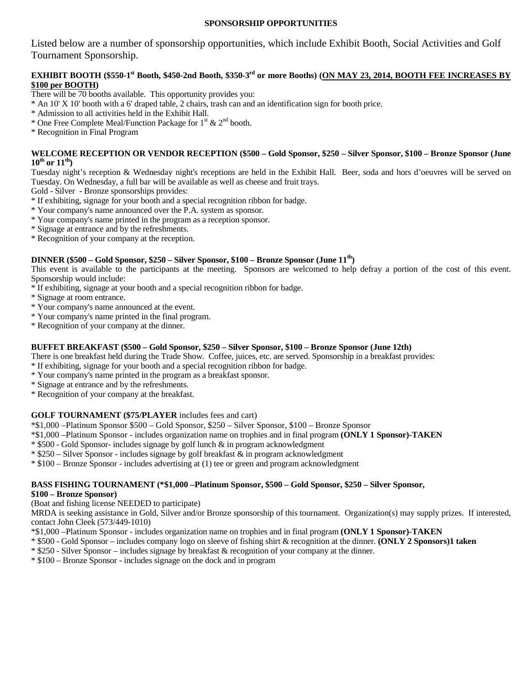## **SPONSORSHIP OPPORTUNITIES**

Listed below are a number of sponsorship opportunities, which include Exhibit Booth, Social Activities and Golf Tournament Sponsorship.

## **EXHIBIT BOOTH (\$550-1<sup>st</sup> Booth, \$450-2nd Booth, \$350-3<sup>rd</sup> or more Booths) (ON MAY 23, 2014, BOOTH FEE INCREASES BY \$100 per BOOTH)**

There will be 70 booths available. This opportunity provides you:

- \* An 10' X 10' booth with a 6' draped table, 2 chairs, trash can and an identification sign for booth price.
- \* Admission to all activities held in the Exhibit Hall.
- \* One Free Complete Meal/Function Package for  $1^{st}$  &  $2^{nd}$  booth.
- \* Recognition in Final Program

#### **WELCOME RECEPTION OR VENDOR RECEPTION (\$500 – Gold Sponsor, \$250 – Silver Sponsor, \$100 – Bronze Sponsor (June 10th or 11th)**

Tuesday night's reception & Wednesday night's receptions are held in the Exhibit Hall. Beer, soda and hors d'oeuvres will be served on Tuesday. On Wednesday, a full bar will be available as well as cheese and fruit trays.

Gold - Silver - Bronze sponsorships provides:

- \* If exhibiting, signage for your booth and a special recognition ribbon for badge.
- \* Your company's name announced over the P.A. system as sponsor.
- \* Your company's name printed in the program as a reception sponsor.
- \* Signage at entrance and by the refreshments.

\* Recognition of your company at the reception.

## **DINNER (\$500 – Gold Sponsor, \$250 – Silver Sponsor, \$100 – Bronze Sponsor (June 11th)**

This event is available to the participants at the meeting. Sponsors are welcomed to help defray a portion of the cost of this event. Sponsorship would include:

- \* If exhibiting, signage at your booth and a special recognition ribbon for badge.
- \* Signage at room entrance.
- \* Your company's name announced at the event.
- \* Your company's name printed in the final program.
- \* Recognition of your company at the dinner.

## **BUFFET BREAKFAST (\$500 – Gold Sponsor, \$250 – Silver Sponsor, \$100 – Bronze Sponsor (June 12th)**

There is one breakfast held during the Trade Show. Coffee, juices, etc. are served. Sponsorship in a breakfast provides:

- \* If exhibiting, signage for your booth and a special recognition ribbon for badge.
- \* Your company's name printed in the program as a breakfast sponsor.
- \* Signage at entrance and by the refreshments.
- \* Recognition of your company at the breakfast.

## **GOLF TOURNAMENT (\$75/PLAYER** includes fees and cart)

\*\$1,000 –Platinum Sponsor \$500 – Gold Sponsor, \$250 – Silver Sponsor, \$100 – Bronze Sponsor

\*\$1,000 –Platinum Sponsor - includes organization name on trophies and in final program **(ONLY 1 Sponsor)-TAKEN**

\* \$500 - Gold Sponsor- includes signage by golf lunch & in program acknowledgment

 $*$  \$250 – Silver Sponsor - includes signage by golf breakfast  $\&$  in program acknowledgment

\* \$100 – Bronze Sponsor - includes advertising at (1) tee or green and program acknowledgment

## **BASS FISHING TOURNAMENT (\*\$1,000 –Platinum Sponsor, \$500 – Gold Sponsor, \$250 – Silver Sponsor,**

#### **\$100 – Bronze Sponsor)**

(Boat and fishing license NEEDED to participate)

MRDA is seeking assistance in Gold, Silver and/or Bronze sponsorship of this tournament. Organization(s) may supply prizes. If interested, contact John Cleek (573/449-1010)

- \*\$1,000 –Platinum Sponsor includes organization name on trophies and in final program **(ONLY 1 Sponsor)-TAKEN**
- \* \$500 Gold Sponsor includes company logo on sleeve of fishing shirt & recognition at the dinner. **(ONLY 2 Sponsors)1 taken**
- \* \$250 Silver Sponsor includes signage by breakfast & recognition of your company at the dinner.
- \* \$100 Bronze Sponsor includes signage on the dock and in program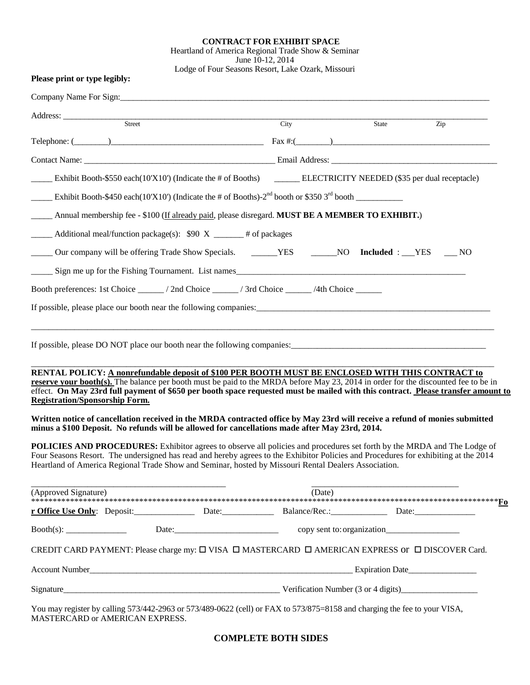## **CONTRACT FOR EXHIBIT SPACE**

Heartland of America Regional Trade Show & Seminar June 10-12, 2014

Lodge of Four Seasons Resort, Lake Ozark, Missouri

MASTERCARD or AMERICAN EXPRESS.

|                                                                                                                                                                                                                                      | Company Name For Sign:                                                                                                                                                                                                                                                                                                                                                        |      |        |       |     |
|--------------------------------------------------------------------------------------------------------------------------------------------------------------------------------------------------------------------------------------|-------------------------------------------------------------------------------------------------------------------------------------------------------------------------------------------------------------------------------------------------------------------------------------------------------------------------------------------------------------------------------|------|--------|-------|-----|
| Address: <u>Street Street Street Street Street Street Street Street Street Street Street Street Street Street Street Street Street Street Street Street Street Street Street Street Street Street Street Street Street Street St</u> |                                                                                                                                                                                                                                                                                                                                                                               | City |        | State | Zip |
|                                                                                                                                                                                                                                      |                                                                                                                                                                                                                                                                                                                                                                               |      |        |       |     |
|                                                                                                                                                                                                                                      | Telephone: $(\_\_\_\_\_$                                                                                                                                                                                                                                                                                                                                                      |      |        |       |     |
|                                                                                                                                                                                                                                      | Contact Name: <u>Contact Name:</u> Contact Name: Contact Name: Contact Name: Contact Name: Contact Name: Contact Name: Contact Name: Contact Name: Contact Name: Contact Name: Contact Name: Contact Name: Contact Name: Contact Na                                                                                                                                           |      |        |       |     |
|                                                                                                                                                                                                                                      | ELECTRICITY NEEDED (\$35 per dual receptacle) ELECTRICITY NEEDED (\$35 per dual receptacle)                                                                                                                                                                                                                                                                                   |      |        |       |     |
|                                                                                                                                                                                                                                      | Exhibit Booth-\$450 each(10'X10') (Indicate the # of Booths)- $2nd$ booth or \$350 $3rd$ booth                                                                                                                                                                                                                                                                                |      |        |       |     |
|                                                                                                                                                                                                                                      | Annual membership fee - \$100 (If already paid, please disregard. MUST BE A MEMBER TO EXHIBIT.)                                                                                                                                                                                                                                                                               |      |        |       |     |
|                                                                                                                                                                                                                                      | $\_\_\_\_\$ Additional meal/function package(s): \$90 X $\_\_\_\_\_\$ # of packages                                                                                                                                                                                                                                                                                           |      |        |       |     |
|                                                                                                                                                                                                                                      | Our company will be offering Trade Show Specials. ________YES ________NO _____NO _______YES _______NO                                                                                                                                                                                                                                                                         |      |        |       |     |
|                                                                                                                                                                                                                                      | Sign me up for the Fishing Tournament. List names                                                                                                                                                                                                                                                                                                                             |      |        |       |     |
|                                                                                                                                                                                                                                      |                                                                                                                                                                                                                                                                                                                                                                               |      |        |       |     |
|                                                                                                                                                                                                                                      |                                                                                                                                                                                                                                                                                                                                                                               |      |        |       |     |
|                                                                                                                                                                                                                                      |                                                                                                                                                                                                                                                                                                                                                                               |      |        |       |     |
| <b>Registration/Sponsorship Form.</b>                                                                                                                                                                                                | RENTAL POLICY: A nonrefundable deposit of \$100 PER BOOTH MUST BE ENCLOSED WITH THIS CONTRACT to<br>reserve your booth(s). The balance per booth must be paid to the MRDA before May 23, 2014 in order for the discounted fee to be in<br>effect. On May 23rd full payment of \$650 per booth space requested must be mailed with this contract. Please transfer amount to    |      |        |       |     |
|                                                                                                                                                                                                                                      | Written notice of cancellation received in the MRDA contracted office by May 23rd will receive a refund of monies submitted<br>minus a \$100 Deposit. No refunds will be allowed for cancellations made after May 23rd, 2014.                                                                                                                                                 |      |        |       |     |
|                                                                                                                                                                                                                                      | <b>POLICIES AND PROCEDURES:</b> Exhibitor agrees to observe all policies and procedures set forth by the MRDA and The Lodge of<br>Four Seasons Resort. The undersigned has read and hereby agrees to the Exhibitor Policies and Procedures for exhibiting at the 2014<br>Heartland of America Regional Trade Show and Seminar, hosted by Missouri Rental Dealers Association. |      |        |       |     |
| (Approved Signature)                                                                                                                                                                                                                 |                                                                                                                                                                                                                                                                                                                                                                               |      | (Date) |       |     |
|                                                                                                                                                                                                                                      | r Office Use Only: Deposit: Denosit: Date: Date: Balance/Rec.: Date: Date: Date:                                                                                                                                                                                                                                                                                              |      |        |       |     |
|                                                                                                                                                                                                                                      |                                                                                                                                                                                                                                                                                                                                                                               |      |        |       |     |
|                                                                                                                                                                                                                                      | CREDIT CARD PAYMENT: Please charge my: □ VISA □ MASTERCARD □ AMERICAN EXPRESS OF □ DISCOVER Card.                                                                                                                                                                                                                                                                             |      |        |       |     |
| Account Number                                                                                                                                                                                                                       | <b>Expiration Date Expiration Date Expiration Date</b>                                                                                                                                                                                                                                                                                                                        |      |        |       |     |
| Signature_                                                                                                                                                                                                                           | <u>Verification Number (3 or 4 digits)</u>                                                                                                                                                                                                                                                                                                                                    |      |        |       |     |
|                                                                                                                                                                                                                                      | You may register by calling 573/442-2963 or 573/489-0622 (cell) or FAX to 573/875=8158 and charging the fee to your VISA,                                                                                                                                                                                                                                                     |      |        |       |     |

**COMPLETE BOTH SIDES**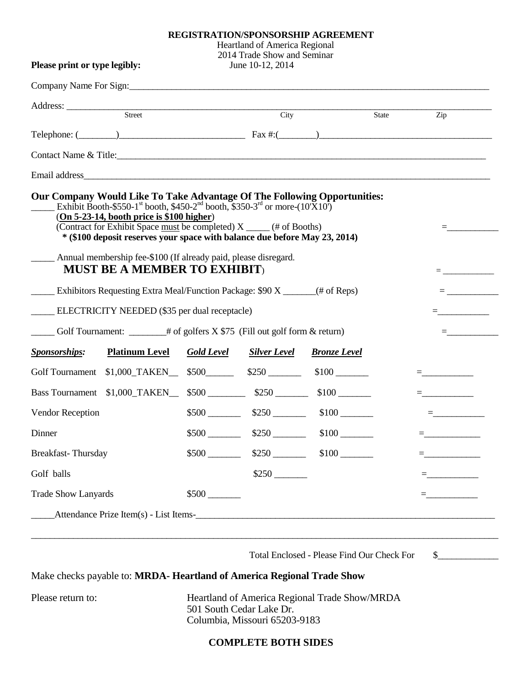## **REGISTRATION/SPONSORSHIP AGREEMENT**

|                                                                                                                                                                                                                                                                                                                                                                                                                                                                                                                                     |                   | <b>Heartland of America Regional</b>            |                      |       |                                                                                                                                                                                                                                                                                                                        |
|-------------------------------------------------------------------------------------------------------------------------------------------------------------------------------------------------------------------------------------------------------------------------------------------------------------------------------------------------------------------------------------------------------------------------------------------------------------------------------------------------------------------------------------|-------------------|-------------------------------------------------|----------------------|-------|------------------------------------------------------------------------------------------------------------------------------------------------------------------------------------------------------------------------------------------------------------------------------------------------------------------------|
| Please print or type legibly:                                                                                                                                                                                                                                                                                                                                                                                                                                                                                                       |                   | 2014 Trade Show and Seminar<br>June 10-12, 2014 |                      |       |                                                                                                                                                                                                                                                                                                                        |
|                                                                                                                                                                                                                                                                                                                                                                                                                                                                                                                                     |                   |                                                 |                      |       |                                                                                                                                                                                                                                                                                                                        |
| Address: <u>Street Street Street Street Street Street Street Street Street Street Street Street Street Street Street Street Street Street Street Street Street Street Street Street Street Street Street Street Street Street St</u>                                                                                                                                                                                                                                                                                                |                   |                                                 |                      |       |                                                                                                                                                                                                                                                                                                                        |
|                                                                                                                                                                                                                                                                                                                                                                                                                                                                                                                                     |                   | City                                            |                      | State | $\overline{Z}$ ip                                                                                                                                                                                                                                                                                                      |
| Telephone: $(\_\_\_\_\_)$                                                                                                                                                                                                                                                                                                                                                                                                                                                                                                           |                   |                                                 |                      |       |                                                                                                                                                                                                                                                                                                                        |
| Contact Name & Title: 1988 Contact Name & Title:                                                                                                                                                                                                                                                                                                                                                                                                                                                                                    |                   |                                                 |                      |       |                                                                                                                                                                                                                                                                                                                        |
|                                                                                                                                                                                                                                                                                                                                                                                                                                                                                                                                     |                   |                                                 |                      |       |                                                                                                                                                                                                                                                                                                                        |
| Exhibit Booth-\$550-1 <sup>st</sup> booth, \$450-2 <sup>nd</sup> booth, \$350-3 <sup>rd</sup> or more- $(10\bar{X}10)$<br>$(On 5-23-14, booth price is $100 higher)$<br>(Contract for Exhibit Space must be completed) X _____ (# of Booths)<br>* (\$100 deposit reserves your space with balance due before May 23, 2014)<br>______ Annual membership fee-\$100 (If already paid, please disregard.<br><b>MUST BE A MEMBER TO EXHIBIT)</b><br><b>Exhibitors Requesting Extra Meal/Function Package: \$90 X</b> ________(# of Reps) |                   |                                                 |                      |       | $\equiv$ and the set of the set of $\sim$<br>$\equiv$ 100 minutes of $\sim$                                                                                                                                                                                                                                            |
| ELECTRICITY NEEDED (\$35 per dual receptacle)                                                                                                                                                                                                                                                                                                                                                                                                                                                                                       |                   |                                                 |                      |       |                                                                                                                                                                                                                                                                                                                        |
| $\frac{1}{2}$ Golf Tournament: $\frac{1}{2}$ # of golfers X \$75 (Fill out golf form & return)<br>$\equiv$ 100 $\pm$ 100 $\pm$                                                                                                                                                                                                                                                                                                                                                                                                      |                   |                                                 |                      |       |                                                                                                                                                                                                                                                                                                                        |
| <b>Platinum Level</b><br><b>Sponsorships:</b>                                                                                                                                                                                                                                                                                                                                                                                                                                                                                       | <b>Gold Level</b> | <b>Silver Level</b>                             | <b>Bronze</b> Level  |       |                                                                                                                                                                                                                                                                                                                        |
| Golf Tournament \$1,000_TAKEN__ \$500______ \$250 ______                                                                                                                                                                                                                                                                                                                                                                                                                                                                            |                   |                                                 | $$100$ $\qquad$      |       | =____________                                                                                                                                                                                                                                                                                                          |
| Bass Tournament \$1,000_TAKEN__ \$500 _______ \$250 ______                                                                                                                                                                                                                                                                                                                                                                                                                                                                          |                   |                                                 | $$100$ $\qquad$      |       | $\equiv$ $\frac{1}{2}$ and $\equiv$ $\frac{1}{2}$ and $\equiv$                                                                                                                                                                                                                                                         |
| Vendor Reception                                                                                                                                                                                                                                                                                                                                                                                                                                                                                                                    |                   |                                                 | $$500$ $$250$ $$100$ |       |                                                                                                                                                                                                                                                                                                                        |
| Dinner                                                                                                                                                                                                                                                                                                                                                                                                                                                                                                                              | $$500$ $\_\_$     | $$250$ $\_\_\_\_\_\_\_\$                        | $$100$ $\qquad$      |       |                                                                                                                                                                                                                                                                                                                        |
| Breakfast-Thursday                                                                                                                                                                                                                                                                                                                                                                                                                                                                                                                  | $$500$ $\qquad$   | $$250$ $\_\_\_\_\_\_\_\$                        | $$100$ $\qquad$      |       | $\equiv$ and the set of $\sim$                                                                                                                                                                                                                                                                                         |
| Golf balls                                                                                                                                                                                                                                                                                                                                                                                                                                                                                                                          |                   | $$250$ $\_\_$                                   |                      |       | $=$ $\frac{1}{2}$ $\frac{1}{2}$ $\frac{1}{2}$ $\frac{1}{2}$ $\frac{1}{2}$ $\frac{1}{2}$ $\frac{1}{2}$ $\frac{1}{2}$ $\frac{1}{2}$ $\frac{1}{2}$ $\frac{1}{2}$ $\frac{1}{2}$ $\frac{1}{2}$ $\frac{1}{2}$ $\frac{1}{2}$ $\frac{1}{2}$ $\frac{1}{2}$ $\frac{1}{2}$ $\frac{1}{2}$ $\frac{1}{2}$ $\frac{1}{2}$ $\frac{1}{2$ |
| <b>Trade Show Lanyards</b>                                                                                                                                                                                                                                                                                                                                                                                                                                                                                                          | $$500$ $\_\_$     |                                                 |                      |       |                                                                                                                                                                                                                                                                                                                        |
| Attendance Prize Item(s) - List Items-<br><u>List Items-</u>                                                                                                                                                                                                                                                                                                                                                                                                                                                                        |                   |                                                 |                      |       |                                                                                                                                                                                                                                                                                                                        |
|                                                                                                                                                                                                                                                                                                                                                                                                                                                                                                                                     |                   |                                                 |                      |       |                                                                                                                                                                                                                                                                                                                        |

Total Enclosed - Please Find Our Check For \$\_\_\_\_\_\_\_\_\_\_\_\_\_

Make checks payable to: **MRDA- Heartland of America Regional Trade Show**

Please return to: **Heartland of America Regional Trade Show/MRDA** 501 South Cedar Lake Dr. Columbia, Missouri 65203-9183

## **COMPLETE BOTH SIDES**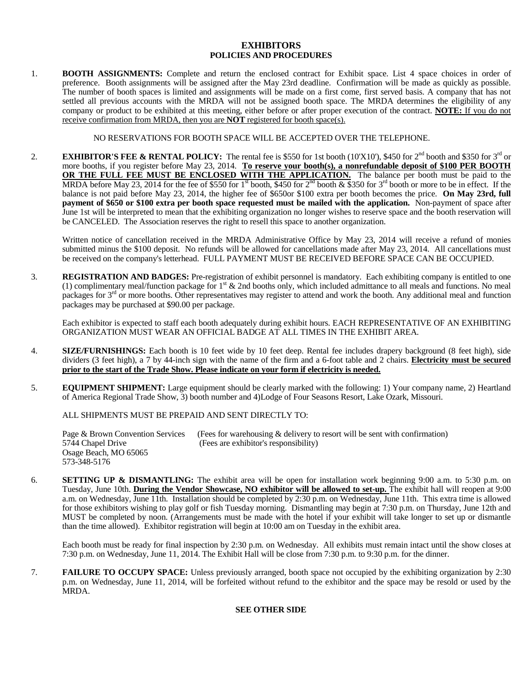#### **EXHIBITORS POLICIES AND PROCEDURES**

1. **BOOTH ASSIGNMENTS:** Complete and return the enclosed contract for Exhibit space. List 4 space choices in order of preference. Booth assignments will be assigned after the May 23rd deadline. Confirmation will be made as quickly as possible. The number of booth spaces is limited and assignments will be made on a first come, first served basis. A company that has not settled all previous accounts with the MRDA will not be assigned booth space. The MRDA determines the eligibility of any company or product to be exhibited at this meeting, either before or after proper execution of the contract. **NOTE:** If you do not receive confirmation from MRDA, then you are **NOT** registered for booth space(s).

NO RESERVATIONS FOR BOOTH SPACE WILL BE ACCEPTED OVER THE TELEPHONE.

2. **EXHIBITOR'S FEE & RENTAL POLICY:** The rental fee is \$550 for 1st booth (10'X10'), \$450 for 2<sup>nd</sup> booth and \$350 for 3<sup>rd</sup> or more booths, if you register before May 23, 2014. **To reserve your booth(s), a nonrefundable deposit of \$100 PER BOOTH OR THE FULL FEE MUST BE ENCLOSED WITH THE APPLICATION.** The balance per booth must be paid to the MRDA before May 23, 2014 for the fee of \$550 for 1<sup>st</sup> booth, \$450 for 2<sup>nd</sup> booth & \$350 for 3<sup>rd</sup> booth or more to be in effect. If the balance is not paid before May 23, 2014, the higher fee of \$650or \$100 extra per booth becomes the price. **On May 23rd, full payment of \$650 or \$100 extra per booth space requested must be mailed with the application.** Non-payment of space after June 1st will be interpreted to mean that the exhibiting organization no longer wishes to reserve space and the booth reservation will be CANCELED. The Association reserves the right to resell this space to another organization.

Written notice of cancellation received in the MRDA Administrative Office by May 23, 2014 will receive a refund of monies submitted minus the \$100 deposit. No refunds will be allowed for cancellations made after May 23, 2014. All cancellations must be received on the company's letterhead. FULL PAYMENT MUST BE RECEIVED BEFORE SPACE CAN BE OCCUPIED.

3. **REGISTRATION AND BADGES:** Pre-registration of exhibit personnel is mandatory. Each exhibiting company is entitled to one (1) complimentary meal/function package for  $1<sup>st</sup>$  & 2nd booths only, which included admittance to all meals and functions. No meal packages for  $3<sup>rd</sup>$  or more booths. Other representatives may register to attend and work the booth. Any additional meal and function packages may be purchased at \$90.00 per package.

Each exhibitor is expected to staff each booth adequately during exhibit hours. EACH REPRESENTATIVE OF AN EXHIBITING ORGANIZATION MUST WEAR AN OFFICIAL BADGE AT ALL TIMES IN THE EXHIBIT AREA.

- 4. **SIZE/FURNISHINGS:** Each booth is 10 feet wide by 10 feet deep. Rental fee includes drapery background (8 feet high), side dividers (3 feet high), a 7 by 44-inch sign with the name of the firm and a 6-foot table and 2 chairs. **Electricity must be secured prior to the start of the Trade Show. Please indicate on your form if electricity is needed.**
- 5. **EQUIPMENT SHIPMENT:** Large equipment should be clearly marked with the following: 1) Your company name, 2) Heartland of America Regional Trade Show, 3) booth number and 4)Lodge of Four Seasons Resort, Lake Ozark, Missouri.

ALL SHIPMENTS MUST BE PREPAID AND SENT DIRECTLY TO:

Page & Brown Convention Services (Fees for warehousing & delivery to resort will be sent with confirmation)<br>5744 Chapel Drive (Fees are exhibitor's responsibility) (Fees are exhibitor's responsibility) Osage Beach, MO 65065 573-348-5176

6. **SETTING UP & DISMANTLING:** The exhibit area will be open for installation work beginning 9:00 a.m. to 5:30 p.m. on Tuesday, June 10th. **During the Vendor Showcase, NO exhibitor will be allowed to set-up.** The exhibit hall will reopen at 9:00 a.m. on Wednesday, June 11th. Installation should be completed by 2:30 p.m. on Wednesday, June 11th. This extra time is allowed for those exhibitors wishing to play golf or fish Tuesday morning. Dismantling may begin at 7:30 p.m. on Thursday, June 12th and MUST be completed by noon. (Arrangements must be made with the hotel if your exhibit will take longer to set up or dismantle than the time allowed). Exhibitor registration will begin at 10:00 am on Tuesday in the exhibit area.

Each booth must be ready for final inspection by 2:30 p.m. on Wednesday. All exhibits must remain intact until the show closes at 7:30 p.m. on Wednesday, June 11, 2014. The Exhibit Hall will be close from 7:30 p.m. to 9:30 p.m. for the dinner.

7. **FAILURE TO OCCUPY SPACE:** Unless previously arranged, booth space not occupied by the exhibiting organization by 2:30 p.m. on Wednesday, June 11, 2014, will be forfeited without refund to the exhibitor and the space may be resold or used by the MRDA.

## **SEE OTHER SIDE**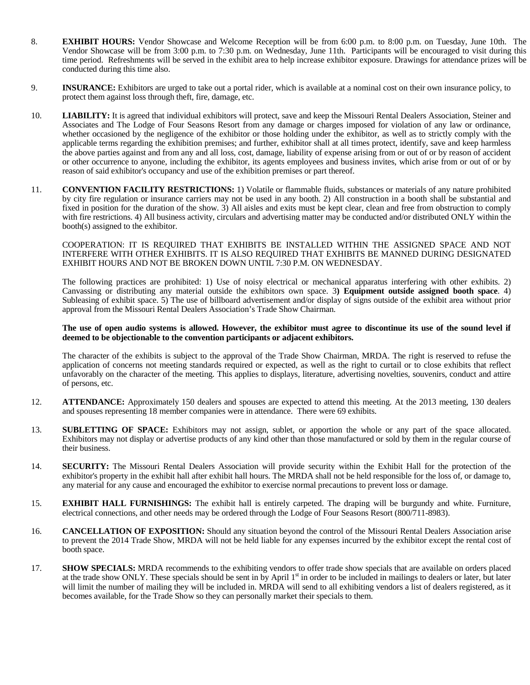- 8. **EXHIBIT HOURS:** Vendor Showcase and Welcome Reception will be from 6:00 p.m. to 8:00 p.m. on Tuesday, June 10th. The Vendor Showcase will be from 3:00 p.m. to 7:30 p.m. on Wednesday, June 11th. Participants will be encouraged to visit during this time period. Refreshments will be served in the exhibit area to help increase exhibitor exposure. Drawings for attendance prizes will be conducted during this time also.
- 9. **INSURANCE:** Exhibitors are urged to take out a portal rider, which is available at a nominal cost on their own insurance policy, to protect them against loss through theft, fire, damage, etc.
- 10. **LIABILITY:** It is agreed that individual exhibitors will protect, save and keep the Missouri Rental Dealers Association, Steiner and Associates and The Lodge of Four Seasons Resort from any damage or charges imposed for violation of any law or ordinance, whether occasioned by the negligence of the exhibitor or those holding under the exhibitor, as well as to strictly comply with the applicable terms regarding the exhibition premises; and further, exhibitor shall at all times protect, identify, save and keep harmless the above parties against and from any and all loss, cost, damage, liability of expense arising from or out of or by reason of accident or other occurrence to anyone, including the exhibitor, its agents employees and business invites, which arise from or out of or by reason of said exhibitor's occupancy and use of the exhibition premises or part thereof.
- 11. **CONVENTION FACILITY RESTRICTIONS:** 1) Volatile or flammable fluids, substances or materials of any nature prohibited by city fire regulation or insurance carriers may not be used in any booth. 2) All construction in a booth shall be substantial and fixed in position for the duration of the show. 3) All aisles and exits must be kept clear, clean and free from obstruction to comply with fire restrictions. 4) All business activity, circulars and advertising matter may be conducted and/or distributed ONLY within the booth(s) assigned to the exhibitor.

#### COOPERATION: IT IS REQUIRED THAT EXHIBITS BE INSTALLED WITHIN THE ASSIGNED SPACE AND NOT INTERFERE WITH OTHER EXHIBITS. IT IS ALSO REQUIRED THAT EXHIBITS BE MANNED DURING DESIGNATED EXHIBIT HOURS AND NOT BE BROKEN DOWN UNTIL 7:30 P.M. ON WEDNESDAY.

The following practices are prohibited: 1) Use of noisy electrical or mechanical apparatus interfering with other exhibits. 2) Canvassing or distributing any material outside the exhibitors own space. 3**) Equipment outside assigned booth space**. 4) Subleasing of exhibit space. 5) The use of billboard advertisement and/or display of signs outside of the exhibit area without prior approval from the Missouri Rental Dealers Association's Trade Show Chairman.

#### **The use of open audio systems is allowed. However, the exhibitor must agree to discontinue its use of the sound level if deemed to be objectionable to the convention participants or adjacent exhibitors.**

The character of the exhibits is subject to the approval of the Trade Show Chairman, MRDA. The right is reserved to refuse the application of concerns not meeting standards required or expected, as well as the right to curtail or to close exhibits that reflect unfavorably on the character of the meeting. This applies to displays, literature, advertising novelties, souvenirs, conduct and attire of persons, etc.

- 12. **ATTENDANCE:** Approximately 150 dealers and spouses are expected to attend this meeting. At the 2013 meeting, 130 dealers and spouses representing 18 member companies were in attendance. There were 69 exhibits.
- 13. **SUBLETTING OF SPACE:** Exhibitors may not assign, sublet, or apportion the whole or any part of the space allocated. Exhibitors may not display or advertise products of any kind other than those manufactured or sold by them in the regular course of their business.
- 14. **SECURITY:** The Missouri Rental Dealers Association will provide security within the Exhibit Hall for the protection of the exhibitor's property in the exhibit hall after exhibit hall hours. The MRDA shall not be held responsible for the loss of, or damage to, any material for any cause and encouraged the exhibitor to exercise normal precautions to prevent loss or damage.
- 15. **EXHIBIT HALL FURNISHINGS:** The exhibit hall is entirely carpeted. The draping will be burgundy and white. Furniture, electrical connections, and other needs may be ordered through the Lodge of Four Seasons Resort (800/711-8983).
- 16. **CANCELLATION OF EXPOSITION:** Should any situation beyond the control of the Missouri Rental Dealers Association arise to prevent the 2014 Trade Show, MRDA will not be held liable for any expenses incurred by the exhibitor except the rental cost of booth space.
- 17. **SHOW SPECIALS:** MRDA recommends to the exhibiting vendors to offer trade show specials that are available on orders placed at the trade show ONLY. These specials should be sent in by April 1<sup>st</sup> in order to be included in mailings to dealers or later, but later will limit the number of mailing they will be included in. MRDA will send to all exhibiting vendors a list of dealers registered, as it becomes available, for the Trade Show so they can personally market their specials to them.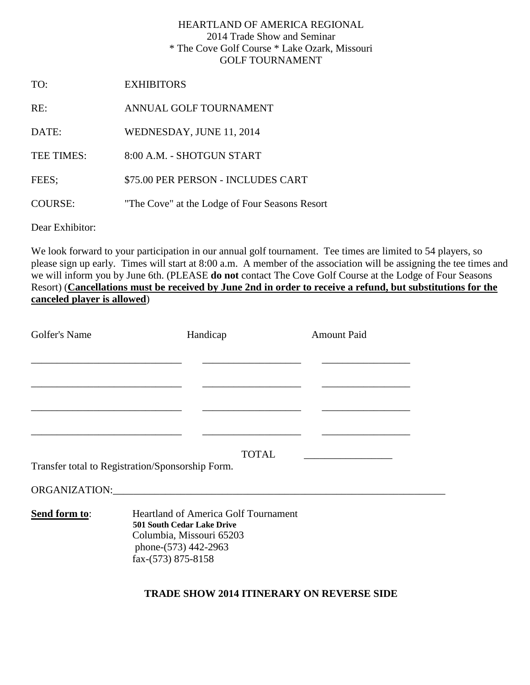## HEARTLAND OF AMERICA REGIONAL 2014 Trade Show and Seminar \* The Cove Golf Course \* Lake Ozark, Missouri GOLF TOURNAMENT

TO: EXHIBITORS

RE: ANNUAL GOLF TOURNAMENT

DATE: WEDNESDAY, JUNE 11, 2014

TEE TIMES: 8:00 A.M. - SHOTGUN START

FEES; \$75.00 PER PERSON - INCLUDES CART

COURSE: "The Cove" at the Lodge of Four Seasons Resort

Dear Exhibitor:

We look forward to your participation in our annual golf tournament. Tee times are limited to 54 players, so please sign up early. Times will start at 8:00 a.m. A member of the association will be assigning the tee times and we will inform you by June 6th. (PLEASE **do not** contact The Cove Golf Course at the Lodge of Four Seasons Resort) (**Cancellations must be received by June 2nd in order to receive a refund, but substitutions for the canceled player is allowed**)

| Golfer's Name | Handicap                                                                                                                                                   | <b>Amount Paid</b> |
|---------------|------------------------------------------------------------------------------------------------------------------------------------------------------------|--------------------|
|               |                                                                                                                                                            |                    |
|               |                                                                                                                                                            |                    |
|               |                                                                                                                                                            |                    |
|               | Transfer total to Registration/Sponsorship Form.                                                                                                           | <b>TOTAL</b>       |
|               | ORGANIZATION:                                                                                                                                              |                    |
| Send form to: | <b>Heartland of America Golf Tournament</b><br><b>501 South Cedar Lake Drive</b><br>Columbia, Missouri 65203<br>phone-(573) 442-2963<br>fax-(573) 875-8158 |                    |

## **TRADE SHOW 2014 ITINERARY ON REVERSE SIDE**